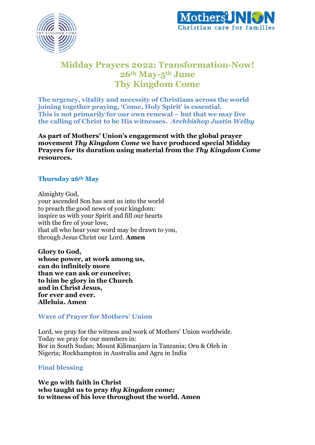



# **Midday Prayers 2022: Transformation-Now! 26th May-5th June Thy Kingdom Come**

**The urgency, vitality and necessity of Christians across the world joining together praying, 'Come, Holy Spirit' is essential. This is not primarily for our own renewal – but that we may live the calling of Christ to be His witnesses.** *Archbishop Justin Welby*

**As part of Mothers' Union's engagement with the global prayer movement** *Thy Kingdom Come* **we have produced special Midday Prayers for its duration using material from the** *Thy Kingdom Come*  **resources.**

# **Thursday 26th May**

Almighty God, your ascended Son has sent us into the world to preach the good news of your kingdom: inspire us with your Spirit and fill our hearts with the fire of your love, that all who hear your word may be drawn to you, through Jesus Christ our Lord. **Amen**

**Glory to God, whose power, at work among us, can do infinitely more than we can ask or conceive; to him be glory in the Church and in Christ Jesus, for ever and ever. Alleluia. Amen**

**Wave of Prayer for Mothers' Union**

Lord, we pray for the witness and work of Mothers' Union worldwide. Today we pray for our members in: Bor in South Sudan; Mount Kilimanjaro in Tanzania; Oru & Oleh in Nigeria; Rockhampton in Australia and Agra in India

**Final blessing**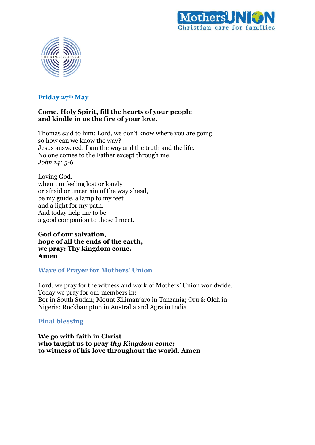



# **Friday 27th May**

### **Come, Holy Spirit, fill the hearts of your people and kindle in us the fire of your love.**

Thomas said to him: Lord, we don't know where you are going, so how can we know the way? Jesus answered: I am the way and the truth and the life. No one comes to the Father except through me. *John 14: 5-6*

Loving God, when I'm feeling lost or lonely or afraid or uncertain of the way ahead, be my guide, a lamp to my feet and a light for my path. And today help me to be a good companion to those I meet.

**God of our salvation, hope of all the ends of the earth, we pray: Thy kingdom come. Amen**

# **Wave of Prayer for Mothers' Union**

Lord, we pray for the witness and work of Mothers' Union worldwide. Today we pray for our members in: Bor in South Sudan; Mount Kilimanjaro in Tanzania; Oru & Oleh in Nigeria; Rockhampton in Australia and Agra in India

# **Final blessing**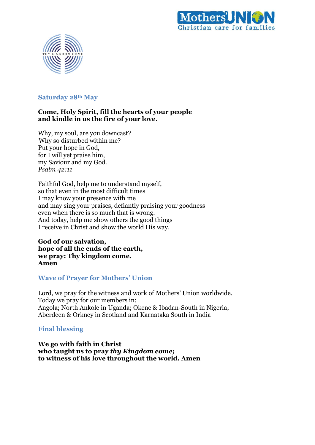



## **Saturday 28th May**

## **Come, Holy Spirit, fill the hearts of your people and kindle in us the fire of your love.**

Why, my soul, are you downcast? Why so disturbed within me? Put your hope in God, for I will yet praise him, my Saviour and my God. *Psalm 42:11*

Faithful God, help me to understand myself, so that even in the most difficult times I may know your presence with me and may sing your praises, defiantly praising your goodness even when there is so much that is wrong. And today, help me show others the good things I receive in Christ and show the world His way.

**God of our salvation, hope of all the ends of the earth, we pray: Thy kingdom come. Amen**

### **Wave of Prayer for Mothers' Union**

Lord, we pray for the witness and work of Mothers' Union worldwide. Today we pray for our members in: Angola; North Ankole in Uganda; Okene & Ibadan-South in Nigeria; Aberdeen & Orkney in Scotland and Karnataka South in India

# **Final blessing**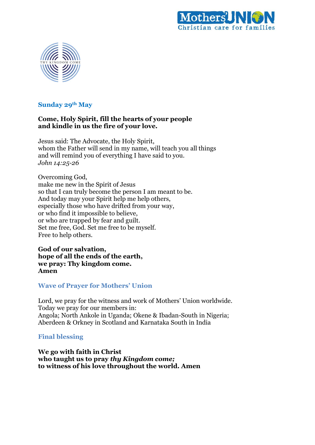



### **Sunday 29th May**

### **Come, Holy Spirit, fill the hearts of your people and kindle in us the fire of your love.**

Jesus said: The Advocate, the Holy Spirit, whom the Father will send in my name, will teach you all things and will remind you of everything I have said to you. *John 14:25-26*

Overcoming God, make me new in the Spirit of Jesus so that I can truly become the person I am meant to be. And today may your Spirit help me help others, especially those who have drifted from your way, or who find it impossible to believe, or who are trapped by fear and guilt. Set me free, God. Set me free to be myself. Free to help others.

**God of our salvation, hope of all the ends of the earth, we pray: Thy kingdom come. Amen**

#### **Wave of Prayer for Mothers' Union**

Lord, we pray for the witness and work of Mothers' Union worldwide. Today we pray for our members in: Angola; North Ankole in Uganda; Okene & Ibadan-South in Nigeria; Aberdeen & Orkney in Scotland and Karnataka South in India

**Final blessing**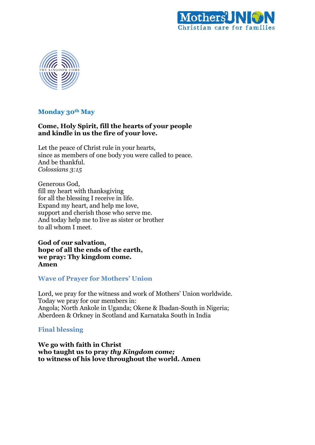



## **Monday 30th May**

## **Come, Holy Spirit, fill the hearts of your people and kindle in us the fire of your love.**

Let the peace of Christ rule in your hearts, since as members of one body you were called to peace. And be thankful. *Colossians 3:15*

Generous God, fill my heart with thanksgiving for all the blessing I receive in life. Expand my heart, and help me love, support and cherish those who serve me. And today help me to live as sister or brother to all whom I meet.

**God of our salvation, hope of all the ends of the earth, we pray: Thy kingdom come. Amen**

### **Wave of Prayer for Mothers' Union**

Lord, we pray for the witness and work of Mothers' Union worldwide. Today we pray for our members in: Angola; North Ankole in Uganda; Okene & Ibadan-South in Nigeria; Aberdeen & Orkney in Scotland and Karnataka South in India

### **Final blessing**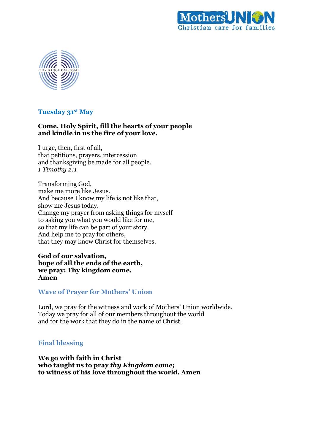



### **Tuesday 31st May**

# **Come, Holy Spirit, fill the hearts of your people and kindle in us the fire of your love.**

I urge, then, first of all, that petitions, prayers, intercession and thanksgiving be made for all people. *1 Timothy 2:1*

Transforming God, make me more like Jesus. And because I know my life is not like that, show me Jesus today. Change my prayer from asking things for myself to asking you what you would like for me, so that my life can be part of your story. And help me to pray for others, that they may know Christ for themselves.

**God of our salvation, hope of all the ends of the earth, we pray: Thy kingdom come. Amen**

### **Wave of Prayer for Mothers' Union**

Lord, we pray for the witness and work of Mothers' Union worldwide. Today we pray for all of our members throughout the world and for the work that they do in the name of Christ.

# **Final blessing**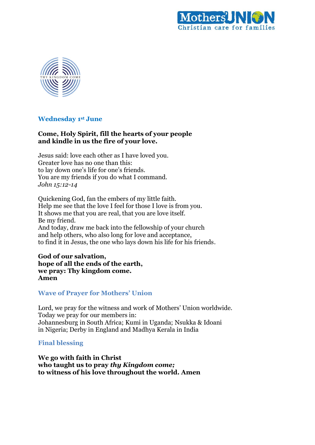



### **Wednesday 1 st June**

# **Come, Holy Spirit, fill the hearts of your people and kindle in us the fire of your love.**

Jesus said: love each other as I have loved you. Greater love has no one than this: to lay down one's life for one's friends. You are my friends if you do what I command. *John 15:12-14*

Quickening God, fan the embers of my little faith. Help me see that the love I feel for those I love is from you. It shows me that you are real, that you are love itself. Be my friend. And today, draw me back into the fellowship of your church and help others, who also long for love and acceptance, to find it in Jesus, the one who lays down his life for his friends.

#### **God of our salvation, hope of all the ends of the earth, we pray: Thy kingdom come. Amen**

### **Wave of Prayer for Mothers' Union**

Lord, we pray for the witness and work of Mothers' Union worldwide. Today we pray for our members in: Johannesburg in South Africa; Kumi in Uganda; Nsukka & Idoani in Nigeria; Derby in England and Madhya Kerala in India

### **Final blessing**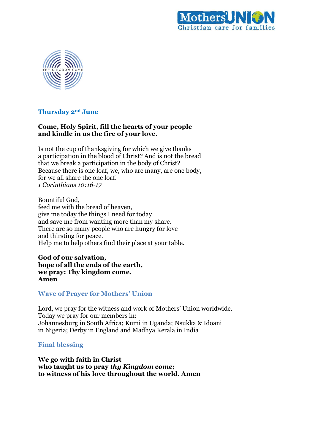



# **Thursday 2nd June**

## **Come, Holy Spirit, fill the hearts of your people and kindle in us the fire of your love.**

Is not the cup of thanksgiving for which we give thanks a participation in the blood of Christ? And is not the bread that we break a participation in the body of Christ? Because there is one loaf, we, who are many, are one body, for we all share the one loaf. *1 Corinthians 10:16-17*

Bountiful God, feed me with the bread of heaven, give me today the things I need for today and save me from wanting more than my share. There are so many people who are hungry for love and thirsting for peace. Help me to help others find their place at your table.

**God of our salvation, hope of all the ends of the earth, we pray: Thy kingdom come. Amen**

### **Wave of Prayer for Mothers' Union**

Lord, we pray for the witness and work of Mothers' Union worldwide. Today we pray for our members in: Johannesburg in South Africa; Kumi in Uganda; Nsukka & Idoani in Nigeria; Derby in England and Madhya Kerala in India

### **Final blessing**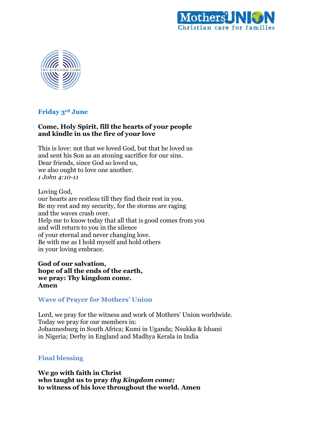



### **Friday 3rd June**

# **Come, Holy Spirit, fill the hearts of your people and kindle in us the fire of your love**

This is love: not that we loved God, but that he loved us and sent his Son as an atoning sacrifice for our sins. Dear friends, since God so loved us, we also ought to love one another. *1 John 4:10-11*

Loving God, our hearts are restless till they find their rest in you. Be my rest and my security, for the storms are raging and the waves crash over. Help me to know today that all that is good comes from you and will return to you in the silence of your eternal and never changing love. Be with me as I hold myself and hold others in your loving embrace.

**God of our salvation, hope of all the ends of the earth, we pray: Thy kingdom come. Amen**

### **Wave of Prayer for Mothers' Union**

Lord, we pray for the witness and work of Mothers' Union worldwide. Today we pray for our members in: Johannesburg in South Africa; Kumi in Uganda; Nsukka & Idoani in Nigeria; Derby in England and Madhya Kerala in India

# **Final blessing**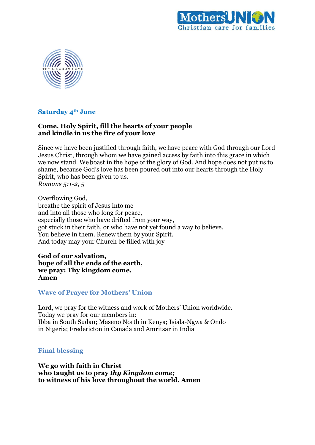



# **Saturday 4th June**

# **Come, Holy Spirit, fill the hearts of your people and kindle in us the fire of your love**

Since we have been justified through faith, we have peace with God through our Lord Jesus Christ, through whom we have gained access by faith into this grace in which we now stand. We boast in the hope of the glory of God. And hope does not put us to shame, because God's love has been poured out into our hearts through the Holy Spirit, who has been given to us. *Romans 5:1-2, 5*

Overflowing God, breathe the spirit of Jesus into me and into all those who long for peace, especially those who have drifted from your way, got stuck in their faith, or who have not yet found a way to believe. You believe in them. Renew them by your Spirit. And today may your Church be filled with joy

**God of our salvation, hope of all the ends of the earth, we pray: Thy kingdom come. Amen**

### **Wave of Prayer for Mothers' Union**

Lord, we pray for the witness and work of Mothers' Union worldwide. Today we pray for our members in: Ibba in South Sudan; Maseno North in Kenya; Isiala-Ngwa & Ondo in Nigeria; Fredericton in Canada and Amritsar in India

### **Final blessing**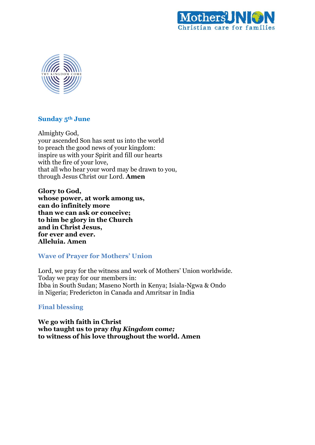



#### **Sunday 5th June**

Almighty God, your ascended Son has sent us into the world to preach the good news of your kingdom: inspire us with your Spirit and fill our hearts with the fire of your love, that all who hear your word may be drawn to you, through Jesus Christ our Lord. **Amen**

**Glory to God, whose power, at work among us, can do infinitely more than we can ask or conceive; to him be glory in the Church and in Christ Jesus, for ever and ever. Alleluia. Amen**

### **Wave of Prayer for Mothers' Union**

Lord, we pray for the witness and work of Mothers' Union worldwide. Today we pray for our members in: Ibba in South Sudan; Maseno North in Kenya; Isiala-Ngwa & Ondo in Nigeria; Fredericton in Canada and Amritsar in India

### **Final blessing**